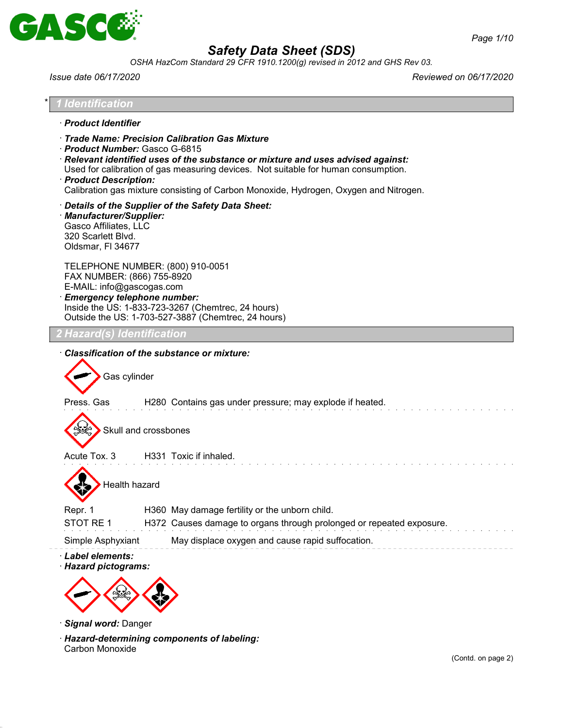

*OSHA HazCom Standard 29 CFR 1910.1200(g) revised in 2012 and GHS Rev 03.*

*Issue date 06/17/2020 Reviewed on 06/17/2020*



Carbon Monoxide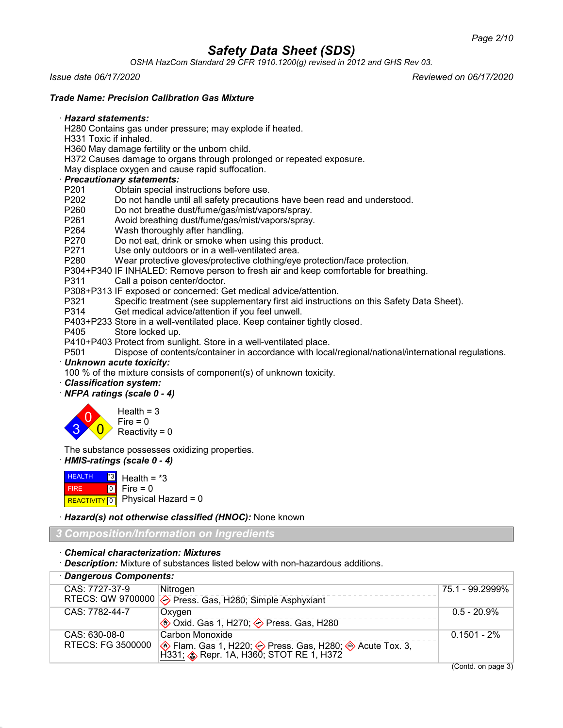*OSHA HazCom Standard 29 CFR 1910.1200(g) revised in 2012 and GHS Rev 03.*

*Issue date 06/17/2020 Reviewed on 06/17/2020*

*Trade Name: Precision Calibration Gas Mixture*

#### · *Hazard statements:*

H280 Contains gas under pressure; may explode if heated.

- H331 Toxic if inhaled.
- H360 May damage fertility or the unborn child.
- H372 Causes damage to organs through prolonged or repeated exposure.
- May displace oxygen and cause rapid suffocation.

# · *Precautionary statements:*

- Obtain special instructions before use.
- P202 Do not handle until all safety precautions have been read and understood.<br>P260 Do not breathe dust/fume/gas/mist/vapors/spray
- Do not breathe dust/fume/gas/mist/vapors/spray.
- P261 Avoid breathing dust/fume/gas/mist/vapors/spray.
- P264 Wash thoroughly after handling.
- P270 Do not eat, drink or smoke when using this product.
- P271 Use only outdoors or in a well-ventilated area.<br>P280 Wear protective gloves/protective clothing/eve
- Wear protective gloves/protective clothing/eye protection/face protection.
- P304+P340 IF INHALED: Remove person to fresh air and keep comfortable for breathing.
- P311 Call a poison center/doctor.
- P308+P313 IF exposed or concerned: Get medical advice/attention.
- P321 Specific treatment (see supplementary first aid instructions on this Safety Data Sheet).
- P314 Get medical advice/attention if you feel unwell.
- P403+P233 Store in a well-ventilated place. Keep container tightly closed.
- P405 Store locked up.
- P410+P403 Protect from sunlight. Store in a well-ventilated place.
- P501 Dispose of contents/container in accordance with local/regional/national/international regulations.
- · *Unknown acute toxicity:*

100 % of the mixture consists of component(s) of unknown toxicity.

· *Classification system:*

## · *NFPA ratings (scale 0 - 4)*



The substance possesses oxidizing properties.

## · *HMIS-ratings (scale 0 - 4)*

**HEALTH**  FIRE REACTIVITY  $\boxed{0}$  Physical Hazard = 0 \*3  $\boxed{0}$ Health =  $*3$  $Fire = 0$ 

· *Hazard(s) not otherwise classified (HNOC):* None known

## *3 Composition/Information on Ingredients*

#### · *Chemical characterization: Mixtures*

· *Description:* Mixture of substances listed below with non-hazardous additions.

| · Dangerous Components: |                                                                                                  |                 |
|-------------------------|--------------------------------------------------------------------------------------------------|-----------------|
| CAS: 7727-37-9          | Nitrogen                                                                                         | 75.1 - 99.2999% |
|                         | RTECS: QW 9700000 $\diamond$ Press. Gas, H280; Simple Asphyxiant                                 |                 |
| CAS: 7782-44-7          | Oxygen                                                                                           | $0.5 - 20.9\%$  |
|                         | <b>♦ Oxid. Gas 1, H270; ♦ Press. Gas, H280</b>                                                   |                 |
| CAS: 630-08-0           | Carbon Monoxide                                                                                  | $0.1501 - 2\%$  |
| RTECS: FG 3500000       | ◈ Flam. Gas 1, H220; ◇ Press. Gas, H280; ◈ Acute Tox. 3, H331; ◈ Repr. 1A, H360; STOT RE 1, H372 |                 |

(Contd. on page 3)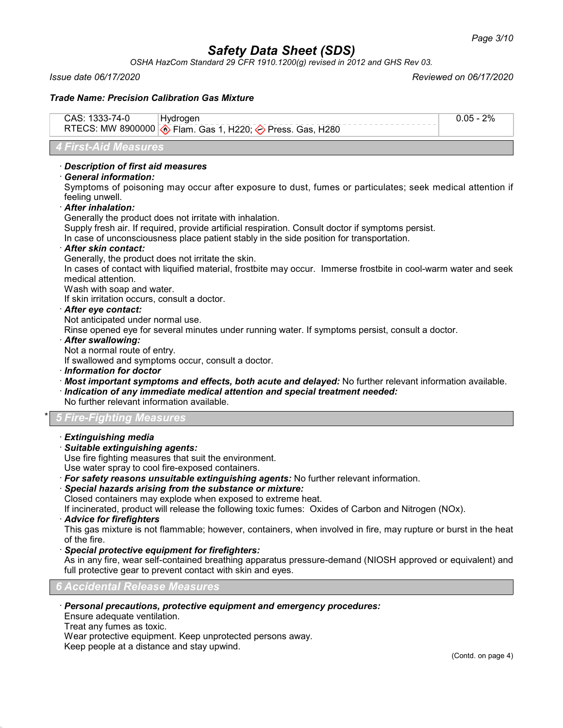*OSHA HazCom Standard 29 CFR 1910.1200(g) revised in 2012 and GHS Rev 03.*

*Issue date 06/17/2020 Reviewed on 06/17/2020*

#### *Trade Name: Precision Calibration Gas Mixture*

*4 First-Aid Measures*

### · *Description of first aid measures*

#### · *General information:*

Symptoms of poisoning may occur after exposure to dust, fumes or particulates; seek medical attention if feeling unwell.

· *After inhalation:*

Generally the product does not irritate with inhalation.

Supply fresh air. If required, provide artificial respiration. Consult doctor if symptoms persist.

In case of unconsciousness place patient stably in the side position for transportation.

#### · *After skin contact:*

Generally, the product does not irritate the skin.

In cases of contact with liquified material, frostbite may occur. Immerse frostbite in cool-warm water and seek medical attention.

Wash with soap and water.

If skin irritation occurs, consult a doctor.

#### · *After eye contact:*

Not anticipated under normal use.

Rinse opened eye for several minutes under running water. If symptoms persist, consult a doctor.

#### · *After swallowing:*

Not a normal route of entry.

If swallowed and symptoms occur, consult a doctor.

· *Information for doctor*

- · *Most important symptoms and effects, both acute and delayed:* No further relevant information available.
- · *Indication of any immediate medical attention and special treatment needed:*

No further relevant information available.

## \* *5 Fire-Fighting Measures*

- · *Extinguishing media*
- · *Suitable extinguishing agents:*

Use fire fighting measures that suit the environment.

Use water spray to cool fire-exposed containers.

- · *For safety reasons unsuitable extinguishing agents:* No further relevant information.
- · *Special hazards arising from the substance or mixture:*

Closed containers may explode when exposed to extreme heat.

If incinerated, product will release the following toxic fumes: Oxides of Carbon and Nitrogen (NOx).

· *Advice for firefighters*

This gas mixture is not flammable; however, containers, when involved in fire, may rupture or burst in the heat of the fire.

· *Special protective equipment for firefighters:*

As in any fire, wear self-contained breathing apparatus pressure-demand (NIOSH approved or equivalent) and full protective gear to prevent contact with skin and eyes.

#### *6 Accidental Release Measures*

### · *Personal precautions, protective equipment and emergency procedures:*

Ensure adequate ventilation.

Treat any fumes as toxic.

Wear protective equipment. Keep unprotected persons away.

Keep people at a distance and stay upwind.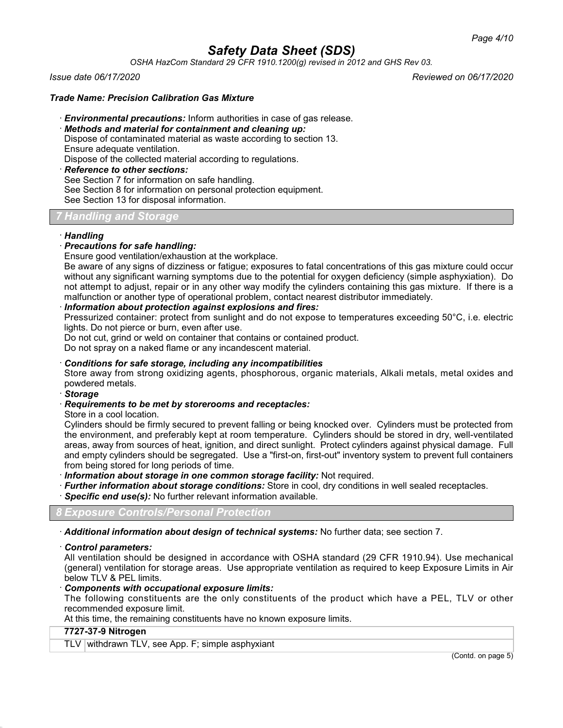*OSHA HazCom Standard 29 CFR 1910.1200(g) revised in 2012 and GHS Rev 03.*

*Issue date 06/17/2020 Reviewed on 06/17/2020*

#### *Trade Name: Precision Calibration Gas Mixture*

- · *Environmental precautions:* Inform authorities in case of gas release.
- · *Methods and material for containment and cleaning up:*

Dispose of contaminated material as waste according to section 13. Ensure adequate ventilation.

Dispose of the collected material according to regulations.

- · *Reference to other sections:*
- See Section 7 for information on safe handling.

See Section 8 for information on personal protection equipment.

See Section 13 for disposal information.

## *7 Handling and Storage*

#### · *Handling*

## · *Precautions for safe handling:*

Ensure good ventilation/exhaustion at the workplace.

Be aware of any signs of dizziness or fatigue; exposures to fatal concentrations of this gas mixture could occur without any significant warning symptoms due to the potential for oxygen deficiency (simple asphyxiation). Do not attempt to adjust, repair or in any other way modify the cylinders containing this gas mixture. If there is a malfunction or another type of operational problem, contact nearest distributor immediately.

### · *Information about protection against explosions and fires:*

Pressurized container: protect from sunlight and do not expose to temperatures exceeding 50°C, i.e. electric lights. Do not pierce or burn, even after use.

Do not cut, grind or weld on container that contains or contained product.

Do not spray on a naked flame or any incandescent material.

#### · *Conditions for safe storage, including any incompatibilities*

Store away from strong oxidizing agents, phosphorous, organic materials, Alkali metals, metal oxides and powdered metals.

### · *Storage*

#### · *Requirements to be met by storerooms and receptacles:*

Store in a cool location.

Cylinders should be firmly secured to prevent falling or being knocked over. Cylinders must be protected from the environment, and preferably kept at room temperature. Cylinders should be stored in dry, well-ventilated areas, away from sources of heat, ignition, and direct sunlight. Protect cylinders against physical damage. Full and empty cylinders should be segregated. Use a "first-on, first-out" inventory system to prevent full containers from being stored for long periods of time.

· *Information about storage in one common storage facility:* Not required.

- · *Further information about storage conditions:* Store in cool, dry conditions in well sealed receptacles.
- · *Specific end use(s):* No further relevant information available.

*8 Exposure Controls/Personal Protection*

· *Additional information about design of technical systems:* No further data; see section 7.

#### · *Control parameters:*

All ventilation should be designed in accordance with OSHA standard (29 CFR 1910.94). Use mechanical (general) ventilation for storage areas. Use appropriate ventilation as required to keep Exposure Limits in Air below TLV & PEL limits.

#### · *Components with occupational exposure limits:*

The following constituents are the only constituents of the product which have a PEL, TLV or other recommended exposure limit.

At this time, the remaining constituents have no known exposure limits.

### **7727-37-9 Nitrogen**

TLV withdrawn TLV, see App. F; simple asphyxiant

(Contd. on page 5)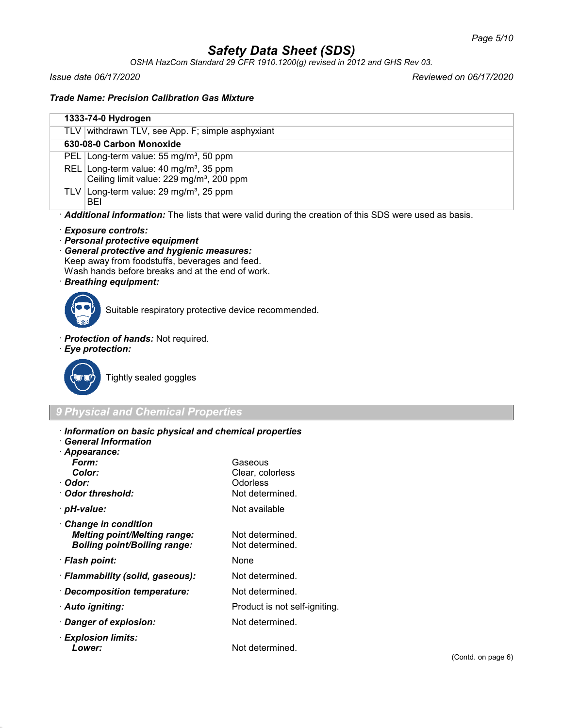*OSHA HazCom Standard 29 CFR 1910.1200(g) revised in 2012 and GHS Rev 03.*

*Issue date 06/17/2020 Reviewed on 06/17/2020*

*Trade Name: Precision Calibration Gas Mixture*

|                                                                                                       | 1333-74-0 Hydrogen                                                                                        |
|-------------------------------------------------------------------------------------------------------|-----------------------------------------------------------------------------------------------------------|
|                                                                                                       | TLV withdrawn TLV, see App. F; simple asphyxiant                                                          |
|                                                                                                       | 630-08-0 Carbon Monoxide                                                                                  |
|                                                                                                       | PEL Long-term value: 55 mg/m <sup>3</sup> , 50 ppm                                                        |
|                                                                                                       | REL Long-term value: $40 \text{ mg/m}^3$ , 35 ppm<br>Ceiling limit value: 229 mg/m <sup>3</sup> , 200 ppm |
|                                                                                                       | TLV Long-term value: $29 \text{ mg/m}^3$ , $25 \text{ ppm}$<br>BEI                                        |
| Additional information: The lists that were valid during the creation of this SDS were used as basis. |                                                                                                           |

#### · *Exposure controls:*

· *Personal protective equipment*

· *General protective and hygienic measures:* Keep away from foodstuffs, beverages and feed. Wash hands before breaks and at the end of work.

· *Breathing equipment:*



Suitable respiratory protective device recommended.

- · *Protection of hands:* Not required.
- · *Eye protection:*



Tightly sealed goggles

## *9 Physical and Chemical Properties*

- · *Information on basic physical and chemical properties*
- · *General Information*
- · *Appearance:*
	- *Form:* Gaseous
- **Color:** Clear, colorless<br>
Clear, colorless<br>
Color: Colorless
- · Odor threshold:
- 
- · *Change in condition Melting point/Melting range:* Not determined. **Boiling point/Boiling range:**
- · *Flash point:* None
- · *Flammability (solid, gaseous):* Not determined.
- · *Decomposition temperature:* Not determined.
- 
- · *Danger of explosion:* Not determined.
- · *Explosion limits:* **Lower:** Not determined.

· *pH-value:* Not available

Odorless<br>Not determined

- 
- 
- · *Auto igniting:* Product is not self-igniting.
	- -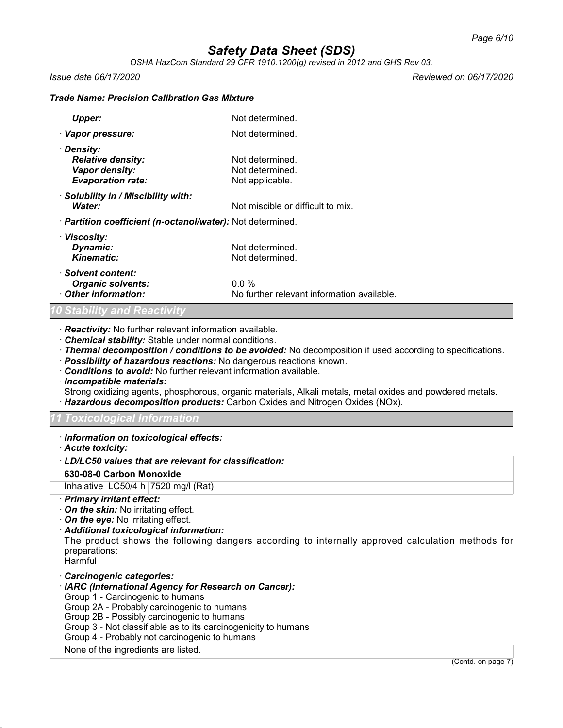*OSHA HazCom Standard 29 CFR 1910.1200(g) revised in 2012 and GHS Rev 03.*

*Issue date 06/17/2020 Reviewed on 06/17/2020*

#### *Trade Name: Precision Calibration Gas Mixture*

| Upper:                                                                               | Not determined.                                       |
|--------------------------------------------------------------------------------------|-------------------------------------------------------|
| · Vapor pressure:                                                                    | Not determined.                                       |
| · Density:<br><b>Relative density:</b><br>Vapor density:<br><b>Evaporation rate:</b> | Not determined.<br>Not determined.<br>Not applicable. |
| · Solubility in / Miscibility with:<br>Water:                                        | Not miscible or difficult to mix.                     |
| · Partition coefficient (n-octanol/water): Not determined.                           |                                                       |
| · Viscosity:<br>Dynamic:<br>Kinematic:                                               | Not determined.<br>Not determined.                    |
| · Solvent content:<br><b>Organic solvents:</b><br>Other information:                 | $0.0\%$<br>No further relevant information available. |

#### *10 Stability and Reactivity*

· *Reactivity:* No further relevant information available.

- · *Chemical stability:* Stable under normal conditions.
- · *Thermal decomposition / conditions to be avoided:* No decomposition if used according to specifications.
- · *Possibility of hazardous reactions:* No dangerous reactions known.
- · *Conditions to avoid:* No further relevant information available.
- · *Incompatible materials:*
- Strong oxidizing agents, phosphorous, organic materials, Alkali metals, metal oxides and powdered metals.
- · *Hazardous decomposition products:* Carbon Oxides and Nitrogen Oxides (NOx).

#### *11 Toxicological Information*

- · *Information on toxicological effects:*
- · *Acute toxicity:*

· *LD/LC50 values that are relevant for classification:*

#### **630-08-0 Carbon Monoxide**

Inhalative  $LC50/4$  h  $7520$  mg/l (Rat)

- · *Primary irritant effect:*
- · *On the skin:* No irritating effect.
- · *On the eye:* No irritating effect.
- · *Additional toxicological information:*

The product shows the following dangers according to internally approved calculation methods for preparations:

**Harmful** 

· *Carcinogenic categories:*

#### · *IARC (International Agency for Research on Cancer):*

- Group 1 Carcinogenic to humans
- Group 2A Probably carcinogenic to humans
- Group 2B Possibly carcinogenic to humans
- Group 3 Not classifiable as to its carcinogenicity to humans
- Group 4 Probably not carcinogenic to humans

#### None of the ingredients are listed.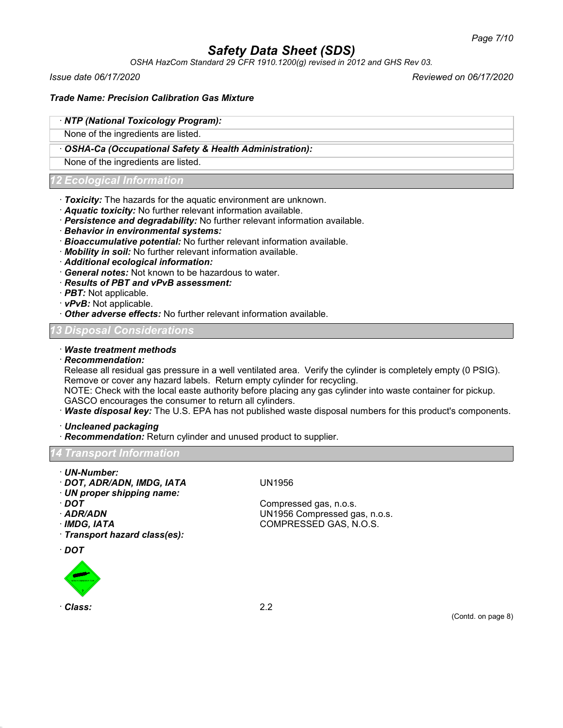*OSHA HazCom Standard 29 CFR 1910.1200(g) revised in 2012 and GHS Rev 03.*

*Issue date 06/17/2020 Reviewed on 06/17/2020*

#### *Trade Name: Precision Calibration Gas Mixture*

## · *NTP (National Toxicology Program):*

None of the ingredients are listed.

#### · *OSHA-Ca (Occupational Safety & Health Administration):*

None of the ingredients are listed.

### *12 Ecological Information*

- · *Toxicity:* The hazards for the aquatic environment are unknown.
- · *Aquatic toxicity:* No further relevant information available.
- · *Persistence and degradability:* No further relevant information available.
- · *Behavior in environmental systems:*
- · *Bioaccumulative potential:* No further relevant information available.
- · *Mobility in soil:* No further relevant information available.
- · *Additional ecological information:*
- · *General notes:* Not known to be hazardous to water.
- · *Results of PBT and vPvB assessment:*
- · *PBT:* Not applicable.
- · *vPvB:* Not applicable.
- · *Other adverse effects:* No further relevant information available.

#### *13 Disposal Considerations*

#### · *Waste treatment methods*

· *Recommendation:*

Release all residual gas pressure in a well ventilated area. Verify the cylinder is completely empty (0 PSIG). Remove or cover any hazard labels. Return empty cylinder for recycling.

NOTE: Check with the local easte authority before placing any gas cylinder into waste container for pickup. GASCO encourages the consumer to return all cylinders.

- · *Waste disposal key:* The U.S. EPA has not published waste disposal numbers for this product's components.
- · *Uncleaned packaging*

· *Recommendation:* Return cylinder and unused product to supplier.

#### *Transport Informatic*

- · *UN-Number:*
- · *DOT, ADR/ADN, IMDG, IATA* UN1956
- · *UN proper shipping name:*
- 
- 
- 
- · *Transport hazard class(es):*
- · *DOT*



· *DOT* Compressed gas, n.o.s. UN<sub>1956</sub> Compressed gas, n.o.s. · *IMDG, IATA* COMPRESSED GAS, N.O.S.

(Contd. on page 8)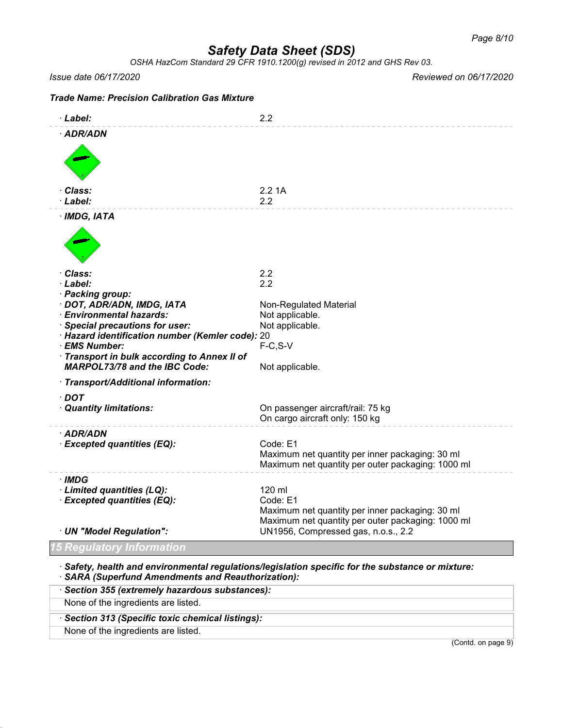*OSHA HazCom Standard 29 CFR 1910.1200(g) revised in 2012 and GHS Rev 03.*

*Issue date 06/17/2020 Reviewed on 06/17/2020*

| <b>Trade Name: Precision Calibration Gas Mixture</b>                                                                                                                                                                                                                                               |                                                                                                                                                                   |
|----------------------------------------------------------------------------------------------------------------------------------------------------------------------------------------------------------------------------------------------------------------------------------------------------|-------------------------------------------------------------------------------------------------------------------------------------------------------------------|
| · Label:                                                                                                                                                                                                                                                                                           | 2.2                                                                                                                                                               |
| · ADR/ADN                                                                                                                                                                                                                                                                                          |                                                                                                                                                                   |
| · Class:<br>· Label:                                                                                                                                                                                                                                                                               | 2.21A<br>2.2                                                                                                                                                      |
| $·$ IMDG, IATA                                                                                                                                                                                                                                                                                     |                                                                                                                                                                   |
| · Class:<br>· Label:<br>· Packing group:<br>· DOT, ADR/ADN, IMDG, IATA<br>· Environmental hazards:<br>· Special precautions for user:<br>· Hazard identification number (Kemler code): 20<br>· EMS Number:<br>· Transport in bulk according to Annex II of<br><b>MARPOL73/78 and the IBC Code:</b> | 2.2<br>2.2<br>Non-Regulated Material<br>Not applicable.<br>Not applicable.<br>$F-C, S-V$<br>Not applicable.                                                       |
| · Transport/Additional information:                                                                                                                                                                                                                                                                |                                                                                                                                                                   |
| $\cdot$ DOT<br>· Quantity limitations:                                                                                                                                                                                                                                                             | On passenger aircraft/rail: 75 kg<br>On cargo aircraft only: 150 kg                                                                                               |
| · ADR/ADN<br>· Excepted quantities (EQ):                                                                                                                                                                                                                                                           | Code: E1<br>Maximum net quantity per inner packaging: 30 ml<br>Maximum net quantity per outer packaging: 1000 ml                                                  |
| · IMDG<br>· Limited quantities (LQ):<br>· Excepted quantities (EQ):<br>· UN "Model Regulation":                                                                                                                                                                                                    | 120 ml<br>Code: E1<br>Maximum net quantity per inner packaging: 30 ml<br>Maximum net quantity per outer packaging: 1000 ml<br>UN1956, Compressed gas, n.o.s., 2.2 |
| qulatory Information                                                                                                                                                                                                                                                                               |                                                                                                                                                                   |
|                                                                                                                                                                                                                                                                                                    |                                                                                                                                                                   |

· *Safety, health and environmental regulations/legislation specific for the substance or mixture:* · *SARA (Superfund Amendments and Reauthorization):*

| (Contd. on page 9)                              |
|-------------------------------------------------|
| None of the ingredients are listed.             |
| Section 313 (Specific toxic chemical listings): |
| None of the ingredients are listed.             |
| · Section 355 (extremely hazardous substances): |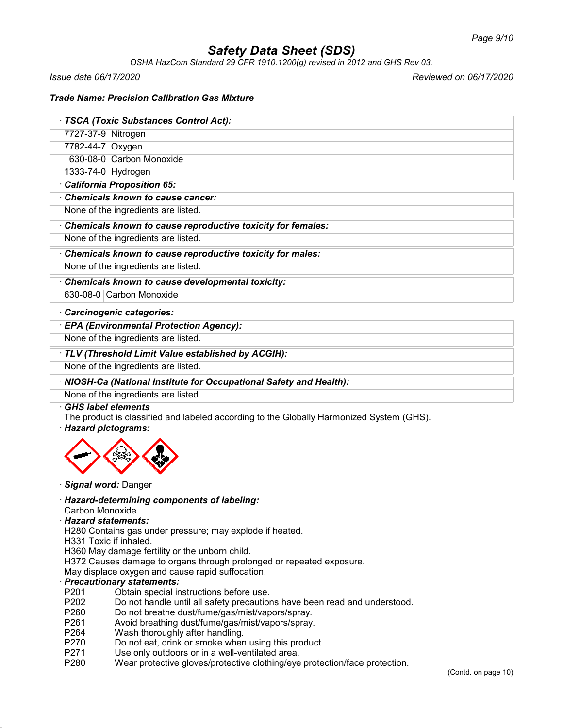*OSHA HazCom Standard 29 CFR 1910.1200(g) revised in 2012 and GHS Rev 03.*

*Issue date 06/17/2020 Reviewed on 06/17/2020*

#### *Trade Name: Precision Calibration Gas Mixture*

| · TSCA (Toxic Substances Control Act): |                          |  |
|----------------------------------------|--------------------------|--|
| 7727-37-9 Nitrogen                     |                          |  |
| 7782-44-7 Oxygen                       |                          |  |
|                                        | 630-08-0 Carbon Monoxide |  |
| 1333-74-0 Hydrogen                     |                          |  |
| California Proposition 65:             |                          |  |
| Chemicals known to cause cancer:       |                          |  |
| None of the ingredients are listed.    |                          |  |

· *Chemicals known to cause reproductive toxicity for females:*

None of the ingredients are listed.

· *Chemicals known to cause reproductive toxicity for males:*

None of the ingredients are listed.

· *Chemicals known to cause developmental toxicity:*

630-08-0 Carbon Monoxide

· *Carcinogenic categories:*

· *EPA (Environmental Protection Agency):*

None of the ingredients are listed.

· *TLV (Threshold Limit Value established by ACGIH):*

None of the ingredients are listed.

## · *NIOSH-Ca (National Institute for Occupational Safety and Health):*

None of the ingredients are listed.

#### · *GHS label elements*

The product is classified and labeled according to the Globally Harmonized System (GHS).

#### · *Hazard pictograms:*



#### · *Signal word:* Danger

· *Hazard-determining components of labeling:*

#### Carbon Monoxide

#### · *Hazard statements:*

H280 Contains gas under pressure; may explode if heated.

H331 Toxic if inhaled.

H360 May damage fertility or the unborn child.

H372 Causes damage to organs through prolonged or repeated exposure.

May displace oxygen and cause rapid suffocation.

#### · *Precautionary statements:*

- P201 Obtain special instructions before use.<br>P202 Do not handle until all safety precaution
- P202 Do not handle until all safety precautions have been read and understood.<br>P260 Do not breathe dust/fume/gas/mist/vapors/sprav.
- Do not breathe dust/fume/gas/mist/vapors/spray.
- P261 Avoid breathing dust/fume/gas/mist/vapors/spray.
- P264 Wash thoroughly after handling.
- P270 Do not eat, drink or smoke when using this product.
- P271 Use only outdoors or in a well-ventilated area.<br>P280 Wear protective gloves/protective clothing/eve
- Wear protective gloves/protective clothing/eye protection/face protection.